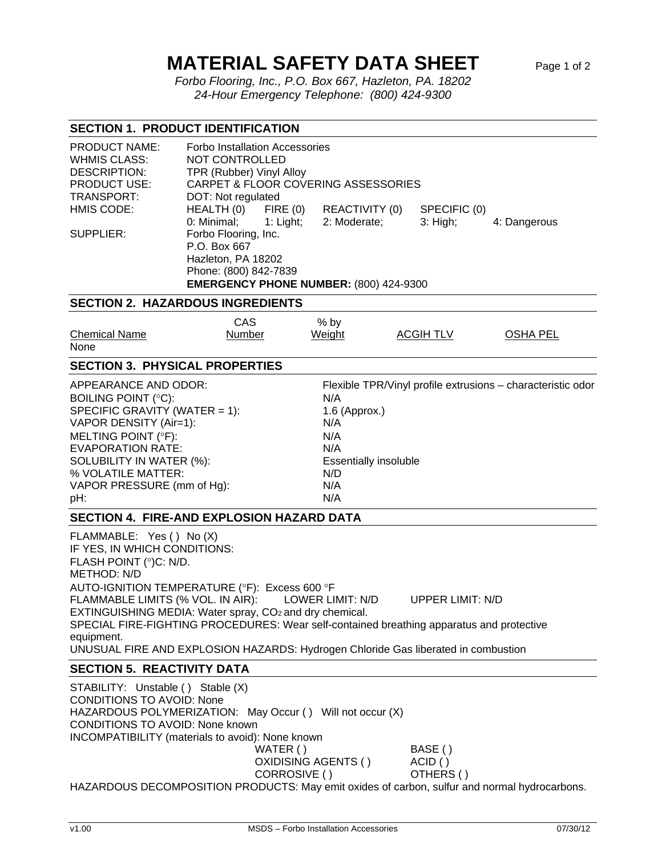## **MATERIAL SAFETY DATA SHEET** Page 1 of 2

 *Forbo Flooring, Inc., P.O. Box 667, Hazleton, PA. 18202 24-Hour Emergency Telephone: (800) 424-9300* 

## **SECTION 1. PRODUCT IDENTIFICATION**

| <b>PRODUCT NAME:</b><br><b>WHMIS CLASS:</b><br>DESCRIPTION: | <b>Forbo Installation Accessories</b><br>NOT CONTROLLED<br>TPR (Rubber) Vinyl Alloy |  |                |              |              |  |  |
|-------------------------------------------------------------|-------------------------------------------------------------------------------------|--|----------------|--------------|--------------|--|--|
| <b>PRODUCT USE:</b>                                         | <b>CARPET &amp; FLOOR COVERING ASSESSORIES</b>                                      |  |                |              |              |  |  |
| TRANSPORT:                                                  | DOT: Not regulated                                                                  |  |                |              |              |  |  |
| HMIS CODE:                                                  | $HEALTH(0)$ FIRE $(0)$                                                              |  | REACTIVITY (0) | SPECIFIC (0) |              |  |  |
|                                                             | $0:$ Minimal; $1:$ Light;                                                           |  | 2: Moderate;   | $3:$ High;   | 4: Dangerous |  |  |
| SUPPLIER:                                                   | Forbo Flooring, Inc.                                                                |  |                |              |              |  |  |
|                                                             | P.O. Box 667                                                                        |  |                |              |              |  |  |
|                                                             | Hazleton, PA 18202                                                                  |  |                |              |              |  |  |
|                                                             | Phone: (800) 842-7839                                                               |  |                |              |              |  |  |
|                                                             | EMERGENCY PHONE NUMBER: (800) 424-9300                                              |  |                |              |              |  |  |

## **SECTION 2. HAZARDOUS INGREDIENTS**

|                                                                                                                                                                                                                                                                                                                                                                                                                                                                      | <b>CAS</b> | $%$ by                              |                              |                                                             |
|----------------------------------------------------------------------------------------------------------------------------------------------------------------------------------------------------------------------------------------------------------------------------------------------------------------------------------------------------------------------------------------------------------------------------------------------------------------------|------------|-------------------------------------|------------------------------|-------------------------------------------------------------|
| <b>Chemical Name</b>                                                                                                                                                                                                                                                                                                                                                                                                                                                 | Number     | Weight                              | ACGIH TLV                    | <b>OSHA PEL</b>                                             |
| None                                                                                                                                                                                                                                                                                                                                                                                                                                                                 |            |                                     |                              |                                                             |
| <b>SECTION 3. PHYSICAL PROPERTIES</b>                                                                                                                                                                                                                                                                                                                                                                                                                                |            |                                     |                              |                                                             |
| APPEARANCE AND ODOR:                                                                                                                                                                                                                                                                                                                                                                                                                                                 |            |                                     |                              | Flexible TPR/Vinyl profile extrusions - characteristic odor |
| BOILING POINT (°C):                                                                                                                                                                                                                                                                                                                                                                                                                                                  |            | N/A                                 |                              |                                                             |
| SPECIFIC GRAVITY (WATER = 1):                                                                                                                                                                                                                                                                                                                                                                                                                                        |            | 1.6 (Approx.)                       |                              |                                                             |
| VAPOR DENSITY (Air=1):                                                                                                                                                                                                                                                                                                                                                                                                                                               |            | N/A                                 |                              |                                                             |
| MELTING POINT (°F):                                                                                                                                                                                                                                                                                                                                                                                                                                                  |            | N/A                                 |                              |                                                             |
| <b>EVAPORATION RATE:</b>                                                                                                                                                                                                                                                                                                                                                                                                                                             |            | N/A                                 |                              |                                                             |
| SOLUBILITY IN WATER (%):                                                                                                                                                                                                                                                                                                                                                                                                                                             |            | <b>Essentially insoluble</b>        |                              |                                                             |
| % VOLATILE MATTER:                                                                                                                                                                                                                                                                                                                                                                                                                                                   |            | N/D                                 |                              |                                                             |
| VAPOR PRESSURE (mm of Hg):                                                                                                                                                                                                                                                                                                                                                                                                                                           |            | N/A                                 |                              |                                                             |
| pH:                                                                                                                                                                                                                                                                                                                                                                                                                                                                  |            | N/A                                 |                              |                                                             |
| <b>SECTION 4. FIRE-AND EXPLOSION HAZARD DATA</b>                                                                                                                                                                                                                                                                                                                                                                                                                     |            |                                     |                              |                                                             |
| FLAMMABLE: Yes () No (X)<br>IF YES, IN WHICH CONDITIONS:<br>FLASH POINT (°)C: N/D.<br><b>METHOD: N/D</b><br>AUTO-IGNITION TEMPERATURE (°F): Excess 600 °F<br>FLAMMABLE LIMITS (% VOL. IN AIR):<br>EXTINGUISHING MEDIA: Water spray, CO <sub>2</sub> and dry chemical.<br>SPECIAL FIRE-FIGHTING PROCEDURES: Wear self-contained breathing apparatus and protective<br>equipment.<br>UNUSUAL FIRE AND EXPLOSION HAZARDS: Hydrogen Chloride Gas liberated in combustion |            | LOWER LIMIT: N/D                    | <b>UPPER LIMIT: N/D</b>      |                                                             |
| <b>SECTION 5. REACTIVITY DATA</b>                                                                                                                                                                                                                                                                                                                                                                                                                                    |            |                                     |                              |                                                             |
| STABILITY: Unstable () Stable (X)<br><b>CONDITIONS TO AVOID: None</b><br>HAZARDOUS POLYMERIZATION: May Occur () Will not occur (X)<br><b>CONDITIONS TO AVOID: None known</b><br><b>INCOMPATIBILITY</b> (materials to avoid): None known                                                                                                                                                                                                                              | WATER()    | OXIDISING AGENTS ()<br>CORROSIVE () | BASE()<br>ACID()<br>OTHERS() |                                                             |

HAZARDOUS DECOMPOSITION PRODUCTS: May emit oxides of carbon, sulfur and normal hydrocarbons.